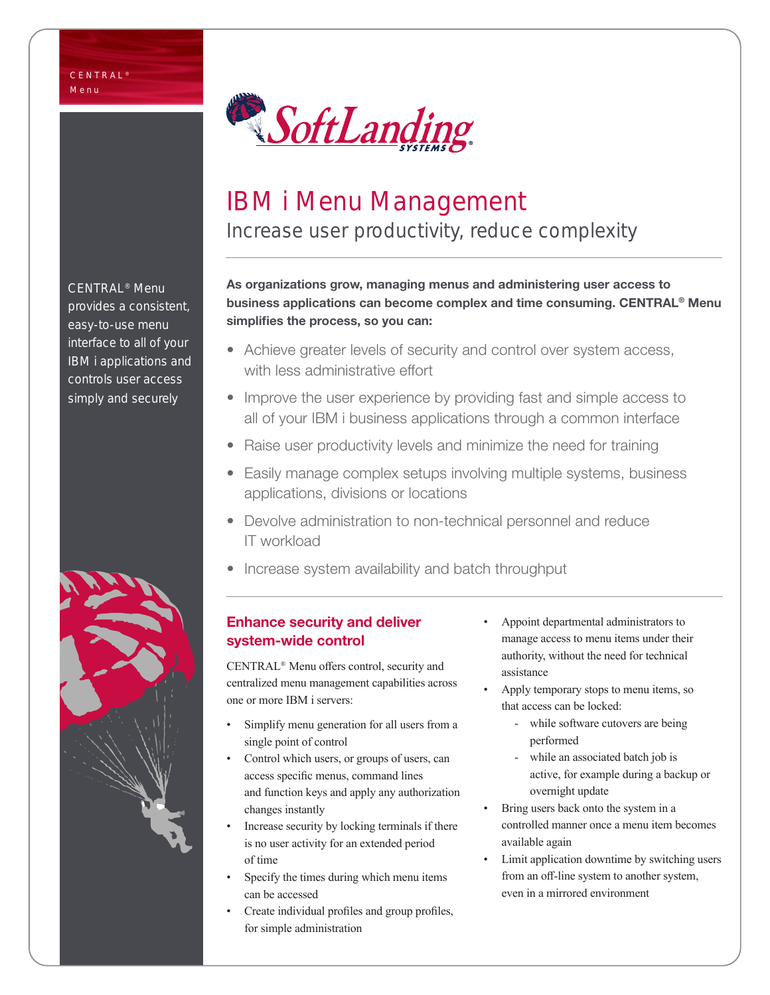

# IBM i Menu Management

Increase user productivity, reduce complexity

As organizations grow, managing menus and administering user access to business applications can become complex and time consuming. CENTRAL® Menu simplifies the process, so you can:

- Achieve greater levels of security and control over system access, with less administrative effort
- Improve the user experience by providing fast and simple access to all of your IBM i business applications through a common interface
- Raise user productivity levels and minimize the need for training
- Easily manage complex setups involving multiple systems, business applications, divisions or locations
- Devolve administration to non-technical personnel and reduce IT workload
- Increase system availability and batch throughput

### Enhance security and deliver system-wide control

CENTRAL® Menu offers control, security and centralized menu management capabilities across one or more IBM i servers:

- Simplify menu generation for all users from a single point of control
- Control which users, or groups of users, can access specific menus, command lines and function keys and apply any authorization changes instantly
- Increase security by locking terminals if there is no user activity for an extended period of time
- Specify the times during which menu items can be accessed
- Create individual profiles and group profiles, for simple administration
- Appoint departmental administrators to manage access to menu items under their authority, without the need for technical assistance
- Apply temporary stops to menu items, so that access can be locked:
	- while software cutovers are being performed
	- while an associated batch job is active, for example during a backup or overnight update
- Bring users back onto the system in a controlled manner once a menu item becomes available again
- Limit application downtime by switching users from an off-line system to another system, even in a mirrored environment

CENTRAL® Menu provides a consistent, easy-to-use menu interface to all of your IBM i applications and controls user access simply and securely